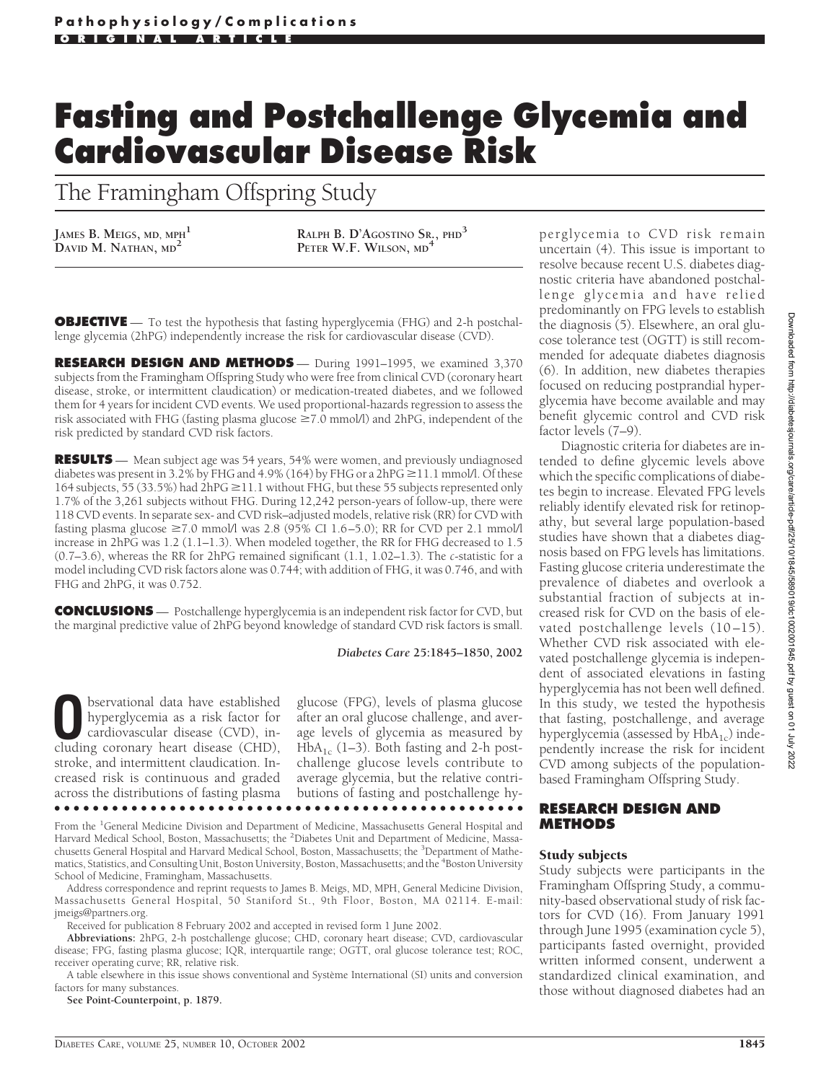# **Fasting and Postchallenge Glycemia and Cardiovascular Disease Risk**

The Framingham Offspring Study

JAMES B. MEIGS, MD, MPH<sup>1</sup><br>DAVID M. NATHAN, MD<sup>2</sup>

**DAVID M. NATHAN, MD<sup>2</sup> RALPH B. D'AGOSTINO SR., PHD<sup>3</sup> PETER W.F. WILSON, MD<sup>4</sup>**

**OBJECTIVE** — To test the hypothesis that fasting hyperglycemia (FHG) and 2-h postchallenge glycemia (2hPG) independently increase the risk for cardiovascular disease (CVD).

**RESEARCH DESIGN AND METHODS** - During 1991-1995, we examined 3,370 subjects from the Framingham Offspring Study who were free from clinical CVD (coronary heart disease, stroke, or intermittent claudication) or medication-treated diabetes, and we followed them for 4 years for incident CVD events. We used proportional-hazards regression to assess the risk associated with FHG (fasting plasma glucose  $\geq$ 7.0 mmol/l) and 2hPG, independent of the risk predicted by standard CVD risk factors.

**RESULTS** — Mean subject age was 54 years, 54% were women, and previously undiagnosed diabetes was present in 3.2% by FHG and 4.9% (164) by FHG or a  $2hPG \ge 11.1$  mmol/l. Of these 164 subjects, 55 (33.5%) had  $2hPG \ge 11.1$  without FHG, but these 55 subjects represented only 1.7% of the 3,261 subjects without FHG. During 12,242 person-years of follow-up, there were 118 CVD events. In separate sex- and CVD risk–adjusted models, relative risk (RR) for CVD with fasting plasma glucose  $\geq 7.0$  mmol/l was 2.8 (95% CI 1.6–5.0); RR for CVD per 2.1 mmol/l increase in 2hPG was 1.2 (1.1–1.3). When modeled together, the RR for FHG decreased to 1.5 (0.7–3.6), whereas the RR for 2hPG remained significant (1.1, 1.02–1.3). The *c*-statistic for a model including CVD risk factors alone was 0.744; with addition of FHG, it was 0.746, and with FHG and 2hPG, it was 0.752.

**CONCLUSIONS** — Postchallenge hyperglycemia is an independent risk factor for CVD, but the marginal predictive value of 2hPG beyond knowledge of standard CVD risk factors is small.

#### *Diabetes Care* **25:1845–1850, 2002**

**O**bservational data have established<br>hyperglycemia as a risk factor for<br>cardiovascular disease (CVD), in-<br>cluding coronary heart disease (CHD) hyperglycemia as a risk factor for cluding coronary heart disease (CHD), stroke, and intermittent claudication. Increased risk is continuous and graded across the distributions of fasting plasma

glucose (FPG), levels of plasma glucose after an oral glucose challenge, and average levels of glycemia as measured by  $HbA_{1c}$  (1–3). Both fasting and 2-h postchallenge glucose levels contribute to average glycemia, but the relative contributions of fasting and postchallenge hy-

From the <sup>1</sup>General Medicine Division and Department of Medicine, Massachusetts General Hospital and Harvard Medical School, Boston, Massachusetts; the <sup>2</sup>Diabetes Unit and Department of Medicine, Massachusetts General Hospital and Harvard Medical School, Boston, Massachusetts; the <sup>3</sup>Department of Mathematics, Statistics, and Consulting Unit, Boston University, Boston, Massachusetts; and the <sup>4</sup>Boston University School of Medicine, Framingham, Massachusetts.

●●●●●●●●●●●●●●●●●●●●●●●●●●●●●●●●●●●●●●●●●●●●●●●●●

Address correspondence and reprint requests to James B. Meigs, MD, MPH, General Medicine Division, Massachusetts General Hospital, 50 Staniford St., 9th Floor, Boston, MA 02114. E-mail: jmeigs@partners.org.

Received for publication 8 February 2002 and accepted in revised form 1 June 2002.

**Abbreviations:** 2hPG, 2-h postchallenge glucose; CHD, coronary heart disease; CVD, cardiovascular disease; FPG, fasting plasma glucose; IQR, interquartile range; OGTT, oral glucose tolerance test; ROC, receiver operating curve; RR, relative risk.

A table elsewhere in this issue shows conventional and Système International (SI) units and conversion factors for many substances.

**See Point-Counterpoint, p. 1879.**

perglycemia to CVD risk remain uncertain (4). This issue is important to resolve because recent U.S. diabetes diagnostic criteria have abandoned postchallenge glycemia and have relied predominantly on FPG levels to establish the diagnosis (5). Elsewhere, an oral glucose tolerance test (OGTT) is still recommended for adequate diabetes diagnosis (6). In addition, new diabetes therapies focused on reducing postprandial hyperglycemia have become available and may benefit glycemic control and CVD risk factor levels (7–9).

Diagnostic criteria for diabetes are intended to define glycemic levels above which the specific complications of diabetes begin to increase. Elevated FPG levels reliably identify elevated risk for retinopathy, but several large population-based studies have shown that a diabetes diagnosis based on FPG levels has limitations. Fasting glucose criteria underestimate the prevalence of diabetes and overlook a substantial fraction of subjects at increased risk for CVD on the basis of elevated postchallenge levels (10–15). Whether CVD risk associated with elevated postchallenge glycemia is independent of associated elevations in fasting hyperglycemia has not been well defined. In this study, we tested the hypothesis that fasting, postchallenge, and average hyperglycemia (assessed by  $HbA_{1c}$ ) independently increase the risk for incident CVD among subjects of the populationbased Framingham Offspring Study.

## **RESEARCH DESIGN AND METHODS**

## Study subjects

Study subjects were participants in the Framingham Offspring Study, a community-based observational study of risk factors for CVD (16). From January 1991 through June 1995 (examination cycle 5), participants fasted overnight, provided written informed consent, underwent a standardized clinical examination, and those without diagnosed diabetes had an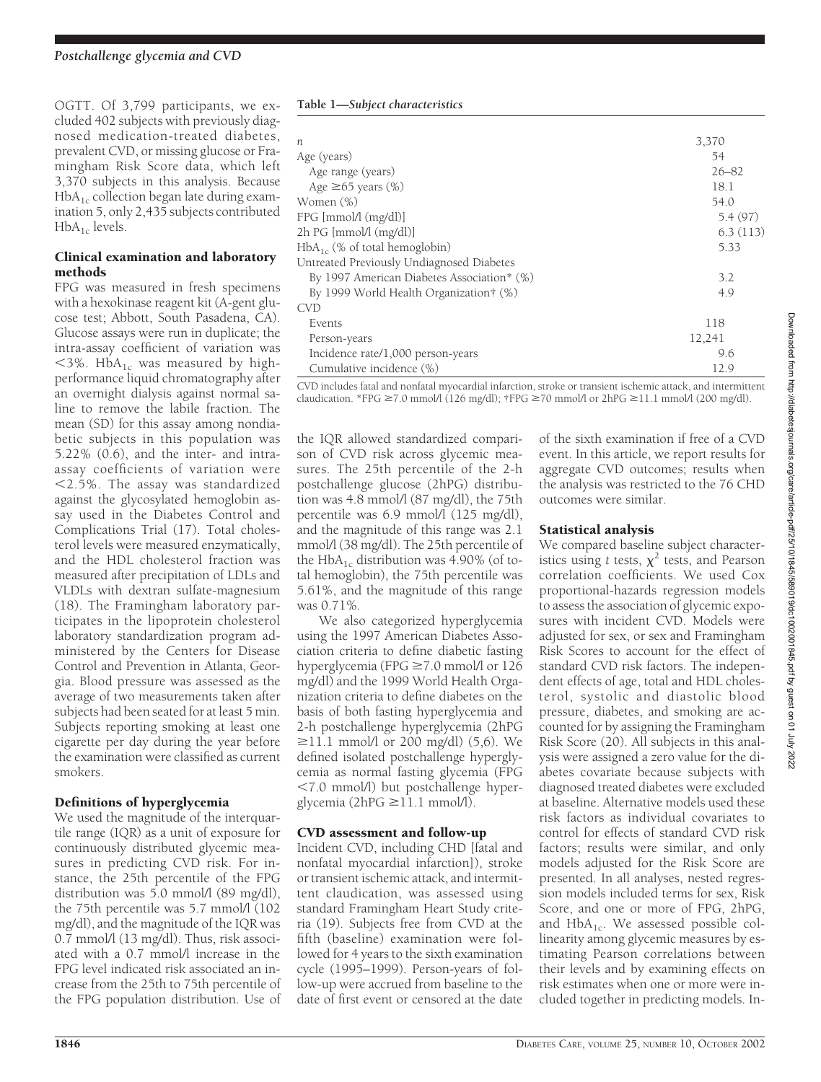OGTT. Of 3,799 participants, we excluded 402 subjects with previously diagnosed medication-treated diabetes, prevalent CVD, or missing glucose or Framingham Risk Score data, which left 3,370 subjects in this analysis. Because  $HbA_{1c}$  collection began late during examination 5, only 2,435 subjects contributed  $HbA_{1c}$  levels.

## Clinical examination and laboratory methods

FPG was measured in fresh specimens with a hexokinase reagent kit (A-gent glucose test; Abbott, South Pasadena, CA). Glucose assays were run in duplicate; the intra-assay coefficient of variation was  $<$ 3%. HbA<sub>1c</sub> was measured by highperformance liquid chromatography after an overnight dialysis against normal saline to remove the labile fraction. The mean (SD) for this assay among nondiabetic subjects in this population was 5.22% (0.6), and the inter- and intraassay coefficients of variation were 2.5%. The assay was standardized against the glycosylated hemoglobin assay used in the Diabetes Control and Complications Trial (17). Total cholesterol levels were measured enzymatically, and the HDL cholesterol fraction was measured after precipitation of LDLs and VLDLs with dextran sulfate-magnesium (18). The Framingham laboratory participates in the lipoprotein cholesterol laboratory standardization program administered by the Centers for Disease Control and Prevention in Atlanta, Georgia. Blood pressure was assessed as the average of two measurements taken after subjects had been seated for at least 5 min. Subjects reporting smoking at least one cigarette per day during the year before the examination were classified as current smokers.

## Definitions of hyperglycemia

We used the magnitude of the interquartile range (IQR) as a unit of exposure for continuously distributed glycemic measures in predicting CVD risk. For instance, the 25th percentile of the FPG distribution was 5.0 mmol/l (89 mg/dl), the 75th percentile was 5.7 mmol/l (102) mg/dl), and the magnitude of the IQR was 0.7 mmol/l (13 mg/dl). Thus, risk associated with a 0.7 mmol/l increase in the FPG level indicated risk associated an increase from the 25th to 75th percentile of the FPG population distribution. Use of

#### **Table 1—***Subject characteristics*

| n                                          | 3,370     |
|--------------------------------------------|-----------|
| Age (years)                                | 54        |
| Age range (years)                          | $26 - 82$ |
| Age $\geq 65$ years (%)                    | 18.1      |
| Women (%)                                  | 54.0      |
| FPG [mmol/l (mg/dl)]                       | 5.4(97)   |
| 2h PG [mmol/(mg/d])]                       | 6.3(113)  |
| $HbA_{1c}$ (% of total hemoglobin)         | 5.33      |
| Untreated Previously Undiagnosed Diabetes  |           |
| By 1997 American Diabetes Association* (%) | 3.2       |
| By 1999 World Health Organization† (%)     | 4.9       |
| <b>CVD</b>                                 |           |
| Events                                     | 118       |
| Person-years                               | 12,241    |
| Incidence rate/1,000 person-years          | 9.6       |
| Cumulative incidence (%)                   | 12.9      |

CVD includes fatal and nonfatal myocardial infarction, stroke or transient ischemic attack, and intermittent claudication. \*FPG  $\geq$ 7.0 mmol/l (126 mg/dl); †FPG  $\geq$ 70 mmol/l or 2hPG  $\geq$ 11.1 mmol/l (200 mg/dl).

the IQR allowed standardized comparison of CVD risk across glycemic measures. The 25th percentile of the 2-h postchallenge glucose (2hPG) distribution was 4.8 mmol/l (87 mg/dl), the 75th percentile was 6.9 mmol/l (125 mg/dl), and the magnitude of this range was 2.1 mmol/l (38 mg/dl). The 25th percentile of the HbA<sub>1c</sub> distribution was 4.90% (of total hemoglobin), the 75th percentile was 5.61%, and the magnitude of this range was 0.71%.

We also categorized hyperglycemia using the 1997 American Diabetes Association criteria to define diabetic fasting hyperglycemia (FPG  $\geq$  7.0 mmol/l or 126 mg/dl) and the 1999 World Health Organization criteria to define diabetes on the basis of both fasting hyperglycemia and 2-h postchallenge hyperglycemia (2hPG  $\geq$ 11.1 mmol/l or 200 mg/dl) (5,6). We defined isolated postchallenge hyperglycemia as normal fasting glycemia (FPG 7.0 mmol/l) but postchallenge hyperglycemia ( $2hPG \geq 11.1$  mmol/l).

## CVD assessment and follow-up

Incident CVD, including CHD [fatal and nonfatal myocardial infarction]), stroke or transient ischemic attack, and intermittent claudication, was assessed using standard Framingham Heart Study criteria (19). Subjects free from CVD at the fifth (baseline) examination were followed for 4 years to the sixth examination cycle (1995–1999). Person-years of follow-up were accrued from baseline to the date of first event or censored at the date of the sixth examination if free of a CVD event. In this article, we report results for aggregate CVD outcomes; results when the analysis was restricted to the 76 CHD outcomes were similar.

## Statistical analysis

We compared baseline subject characteristics using *t* tests,  $\chi^2$  tests, and Pearson correlation coefficients. We used Cox proportional-hazards regression models to assess the association of glycemic exposures with incident CVD. Models were adjusted for sex, or sex and Framingham Risk Scores to account for the effect of standard CVD risk factors. The independent effects of age, total and HDL cholesterol, systolic and diastolic blood pressure, diabetes, and smoking are accounted for by assigning the Framingham Risk Score (20). All subjects in this analysis were assigned a zero value for the diabetes covariate because subjects with diagnosed treated diabetes were excluded at baseline. Alternative models used these risk factors as individual covariates to control for effects of standard CVD risk factors; results were similar, and only models adjusted for the Risk Score are presented. In all analyses, nested regression models included terms for sex, Risk Score, and one or more of FPG, 2hPG, and  $HbA_{1c}$ . We assessed possible collinearity among glycemic measures by estimating Pearson correlations between their levels and by examining effects on risk estimates when one or more were included together in predicting models. In-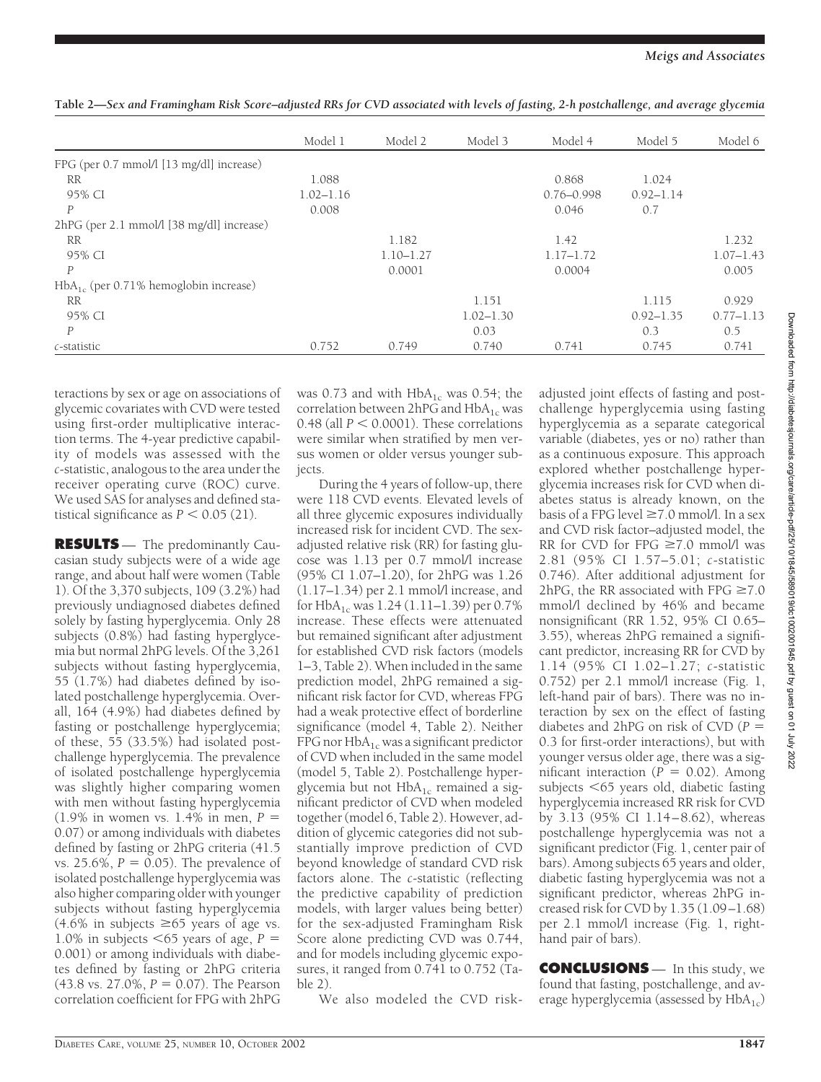|                                            | Model 1       | Model 2       | Model 3       | Model 4        | Model 5       | Model 6       |
|--------------------------------------------|---------------|---------------|---------------|----------------|---------------|---------------|
| FPG (per 0.7 mmol/l [13 mg/dl] increase)   |               |               |               |                |               |               |
| <b>RR</b>                                  | 1.088         |               |               | 0.868          | 1.024         |               |
| 95% CI                                     | $1.02 - 1.16$ |               |               | $0.76 - 0.998$ | $0.92 - 1.14$ |               |
| P                                          | 0.008         |               |               | 0.046          | 0.7           |               |
| 2hPG (per 2.1 mmol/l [38 mg/dl] increase)  |               |               |               |                |               |               |
| <b>RR</b>                                  |               | 1.182         |               | 1.42           |               | 1.232         |
| 95% CI                                     |               | $1.10 - 1.27$ |               | $1.17 - 1.72$  |               | $1.07 - 1.43$ |
| $\mathcal{P}$                              |               | 0.0001        |               | 0.0004         |               | 0.005         |
| $HbA_{1c}$ (per 0.71% hemoglobin increase) |               |               |               |                |               |               |
| <b>RR</b>                                  |               |               | 1.151         |                | 1.115         | 0.929         |
| 95% CI                                     |               |               | $1.02 - 1.30$ |                | $0.92 - 1.35$ | $0.77 - 1.13$ |
| P                                          |               |               | 0.03          |                | 0.3           | 0.5           |
| c-statistic                                | 0.752         | 0.749         | 0.740         | 0.741          | 0.745         | 0.741         |

**Table 2—***Sex and Framingham Risk Score–adjusted RRs for CVD associated with levels of fasting, 2-h postchallenge, and average glycemia*

teractions by sex or age on associations of glycemic covariates with CVD were tested using first-order multiplicative interaction terms. The 4-year predictive capability of models was assessed with the *c*-statistic, analogous to the area under the receiver operating curve (ROC) curve. We used SAS for analyses and defined statistical significance as  $P < 0.05$  (21).

**RESULTS** — The predominantly Caucasian study subjects were of a wide age range, and about half were women (Table 1). Of the 3,370 subjects, 109 (3.2%) had previously undiagnosed diabetes defined solely by fasting hyperglycemia. Only 28 subjects (0.8%) had fasting hyperglycemia but normal 2hPG levels. Of the 3,261 subjects without fasting hyperglycemia, 55 (1.7%) had diabetes defined by isolated postchallenge hyperglycemia. Overall, 164 (4.9%) had diabetes defined by fasting or postchallenge hyperglycemia; of these, 55 (33.5%) had isolated postchallenge hyperglycemia. The prevalence of isolated postchallenge hyperglycemia was slightly higher comparing women with men without fasting hyperglycemia (1.9% in women vs. 1.4% in men, *P* 0.07) or among individuals with diabetes defined by fasting or 2hPG criteria (41.5 vs. 25.6%,  $P = 0.05$ ). The prevalence of isolated postchallenge hyperglycemia was also higher comparing older with younger subjects without fasting hyperglycemia  $(4.6\% \text{ in subjects} \geq 65 \text{ years of age vs.})$ 1.0% in subjects  $< 65$  years of age,  $P =$ 0.001) or among individuals with diabetes defined by fasting or 2hPG criteria  $(43.8 \text{ vs. } 27.0\%, P = 0.07)$ . The Pearson correlation coefficient for FPG with 2hPG

was 0.73 and with  $HbA_{1c}$  was 0.54; the correlation between  $2hPG$  and  $HbA_{1c}$  was 0.48 (all  $P < 0.0001$ ). These correlations were similar when stratified by men versus women or older versus younger subjects.

During the 4 years of follow-up, there were 118 CVD events. Elevated levels of all three glycemic exposures individually increased risk for incident CVD. The sexadjusted relative risk (RR) for fasting glucose was 1.13 per 0.7 mmol/l increase (95% CI 1.07–1.20), for 2hPG was 1.26 (1.17–1.34) per 2.1 mmol/l increase, and for HbA<sub>1c</sub> was 1.24 (1.11–1.39) per 0.7% increase. These effects were attenuated but remained significant after adjustment for established CVD risk factors (models 1–3, Table 2). When included in the same prediction model, 2hPG remained a significant risk factor for CVD, whereas FPG had a weak protective effect of borderline significance (model 4, Table 2). Neither FPG nor  $HbA_{1c}$  was a significant predictor of CVD when included in the same model (model 5, Table 2). Postchallenge hyperglycemia but not  $HbA_{1c}$  remained a significant predictor of CVD when modeled together (model 6, Table 2). However, addition of glycemic categories did not substantially improve prediction of CVD beyond knowledge of standard CVD risk factors alone. The *c*-statistic (reflecting the predictive capability of prediction models, with larger values being better) for the sex-adjusted Framingham Risk Score alone predicting CVD was 0.744, and for models including glycemic exposures, it ranged from 0.741 to 0.752 (Table 2). We also modeled the CVD riskadjusted joint effects of fasting and postchallenge hyperglycemia using fasting hyperglycemia as a separate categorical variable (diabetes, yes or no) rather than as a continuous exposure. This approach explored whether postchallenge hyperglycemia increases risk for CVD when diabetes status is already known, on the basis of a FPG level  $\geq 7.0$  mmol/l. In a sex and CVD risk factor–adjusted model, the RR for CVD for FPG  $\geq 7.0$  mmol/l was 2.81 (95% CI 1.57–5.01; *c*-statistic 0.746). After additional adjustment for 2hPG, the RR associated with FPG  $\geq 7.0$ mmol/l declined by 46% and became nonsignificant (RR 1.52, 95% CI 0.65– 3.55), whereas 2hPG remained a significant predictor, increasing RR for CVD by 1.14 (95% CI 1.02–1.27; *c*-statistic 0.752) per 2.1 mmol/l increase (Fig. 1, left-hand pair of bars). There was no interaction by sex on the effect of fasting diabetes and 2hPG on risk of CVD (*P* 0.3 for first-order interactions), but with younger versus older age, there was a significant interaction  $(P = 0.02)$ . Among subjects 65 years old, diabetic fasting hyperglycemia increased RR risk for CVD by 3.13 (95% CI 1.14–8.62), whereas postchallenge hyperglycemia was not a significant predictor (Fig. 1, center pair of bars). Among subjects 65 years and older, diabetic fasting hyperglycemia was not a significant predictor, whereas 2hPG increased risk for CVD by 1.35 (1.09–1.68) per 2.1 mmol/l increase (Fig. 1, righthand pair of bars).

**CONCLUSIONS** — In this study, we found that fasting, postchallenge, and average hyperglycemia (assessed by  $HbA_{1c}$ )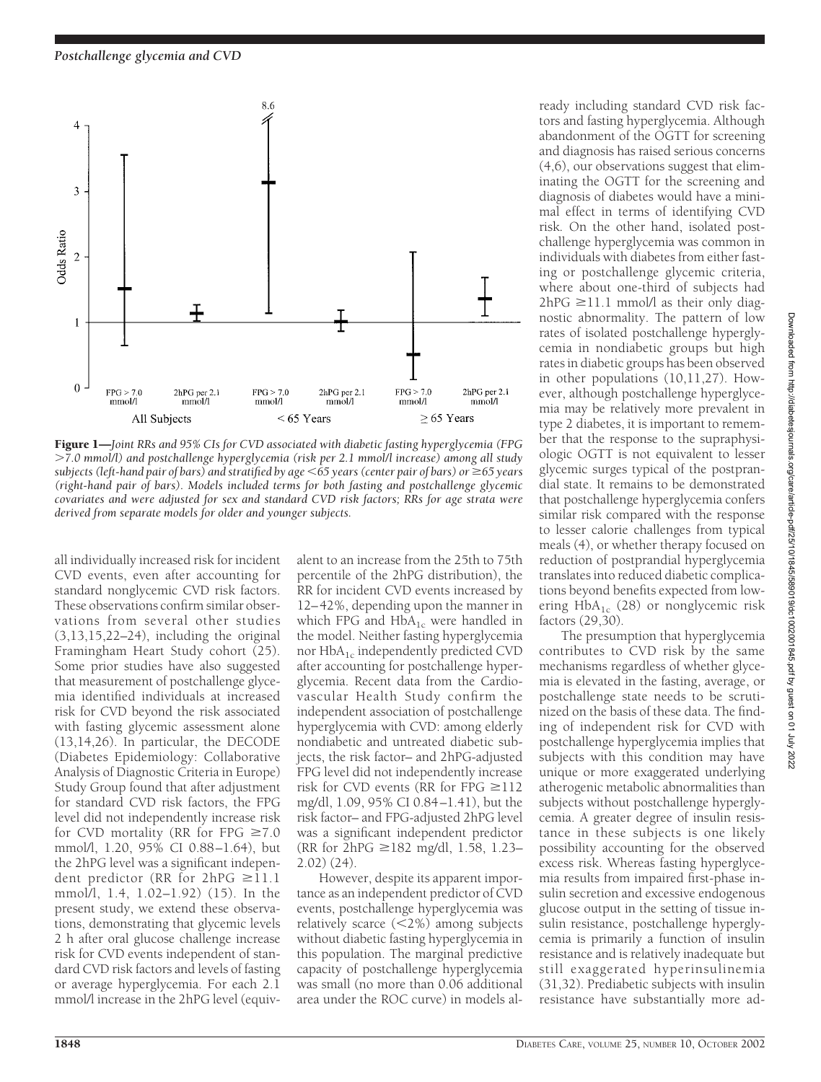

Figure 1—*Joint RRs and 95% CIs for CVD associated with diabetic fasting hyperglycemia (FPG 7.0 mmol/l) and postchallenge hyperglycemia (risk per 2.1 mmol/l increase) among all study subjects (left-hand pair of bars) and stratified by age 65 years (center pair of bars) or 65 years (right-hand pair of bars). Models included terms for both fasting and postchallenge glycemic covariates and were adjusted for sex and standard CVD risk factors; RRs for age strata were derived from separate models for older and younger subjects.*

all individually increased risk for incident CVD events, even after accounting for standard nonglycemic CVD risk factors. These observations confirm similar observations from several other studies (3,13,15,22–24), including the original Framingham Heart Study cohort (25). Some prior studies have also suggested that measurement of postchallenge glycemia identified individuals at increased risk for CVD beyond the risk associated with fasting glycemic assessment alone (13,14,26). In particular, the DECODE (Diabetes Epidemiology: Collaborative Analysis of Diagnostic Criteria in Europe) Study Group found that after adjustment for standard CVD risk factors, the FPG level did not independently increase risk for CVD mortality (RR for FPG  $\geq 7.0$ mmol/l, 1.20, 95% CI 0.88–1.64), but the 2hPG level was a significant independent predictor (RR for  $2hPG \ge 11.1$ mmol/l, 1.4, 1.02–1.92) (15). In the present study, we extend these observations, demonstrating that glycemic levels 2 h after oral glucose challenge increase risk for CVD events independent of standard CVD risk factors and levels of fasting or average hyperglycemia. For each 2.1 mmol/l increase in the 2hPG level (equiv-

alent to an increase from the 25th to 75th percentile of the 2hPG distribution), the RR for incident CVD events increased by 12–42%, depending upon the manner in which FPG and  $HbA_{1c}$  were handled in the model. Neither fasting hyperglycemia nor  $HbA_{1c}$  independently predicted CVD after accounting for postchallenge hyperglycemia. Recent data from the Cardiovascular Health Study confirm the independent association of postchallenge hyperglycemia with CVD: among elderly nondiabetic and untreated diabetic subjects, the risk factor– and 2hPG-adjusted FPG level did not independently increase risk for CVD events (RR for FPG  $\geq$ 112 mg/dl, 1.09, 95% CI 0.84–1.41), but the risk factor– and FPG-adjusted 2hPG level was a significant independent predictor (RR for  $2hPG \ge 182$  mg/dl, 1.58, 1.23– 2.02) (24).

However, despite its apparent importance as an independent predictor of CVD events, postchallenge hyperglycemia was relatively scarce (2%) among subjects without diabetic fasting hyperglycemia in this population. The marginal predictive capacity of postchallenge hyperglycemia was small (no more than 0.06 additional area under the ROC curve) in models already including standard CVD risk factors and fasting hyperglycemia. Although abandonment of the OGTT for screening and diagnosis has raised serious concerns (4,6), our observations suggest that eliminating the OGTT for the screening and diagnosis of diabetes would have a minimal effect in terms of identifying CVD risk*.* On the other hand, isolated postchallenge hyperglycemia was common in individuals with diabetes from either fasting or postchallenge glycemic criteria, where about one-third of subjects had  $2hPG \geq 11.1$  mmol/l as their only diagnostic abnormality. The pattern of low rates of isolated postchallenge hyperglycemia in nondiabetic groups but high rates in diabetic groups has been observed in other populations (10,11,27). However, although postchallenge hyperglycemia may be relatively more prevalent in type 2 diabetes, it is important to remember that the response to the supraphysiologic OGTT is not equivalent to lesser glycemic surges typical of the postprandial state. It remains to be demonstrated that postchallenge hyperglycemia confers similar risk compared with the response to lesser calorie challenges from typical meals (4), or whether therapy focused on reduction of postprandial hyperglycemia translates into reduced diabetic complications beyond benefits expected from lowering  $HbA_{1c}$  (28) or nonglycemic risk factors (29,30).

The presumption that hyperglycemia contributes to CVD risk by the same mechanisms regardless of whether glycemia is elevated in the fasting, average, or postchallenge state needs to be scrutinized on the basis of these data. The finding of independent risk for CVD with postchallenge hyperglycemia implies that subjects with this condition may have unique or more exaggerated underlying atherogenic metabolic abnormalities than subjects without postchallenge hyperglycemia. A greater degree of insulin resistance in these subjects is one likely possibility accounting for the observed excess risk. Whereas fasting hyperglycemia results from impaired first-phase insulin secretion and excessive endogenous glucose output in the setting of tissue insulin resistance, postchallenge hyperglycemia is primarily a function of insulin resistance and is relatively inadequate but still exaggerated hyperinsulinemia (31,32). Prediabetic subjects with insulin resistance have substantially more ad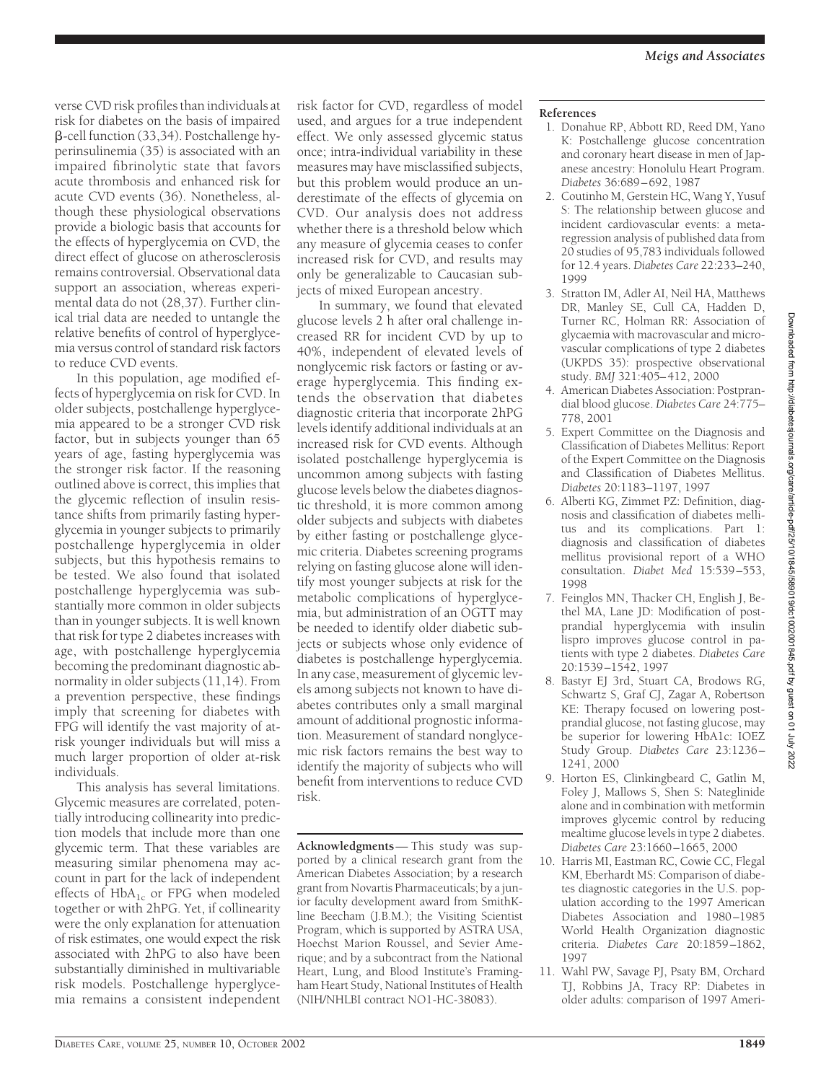verse CVD risk profiles than individuals at risk for diabetes on the basis of impaired -cell function (33,34). Postchallenge hyperinsulinemia (35) is associated with an impaired fibrinolytic state that favors acute thrombosis and enhanced risk for acute CVD events (36). Nonetheless, although these physiological observations provide a biologic basis that accounts for the effects of hyperglycemia on CVD, the direct effect of glucose on atherosclerosis remains controversial. Observational data support an association, whereas experimental data do not (28,37). Further clinical trial data are needed to untangle the relative benefits of control of hyperglycemia versus control of standard risk factors to reduce CVD events.

In this population, age modified effects of hyperglycemia on risk for CVD. In older subjects, postchallenge hyperglycemia appeared to be a stronger CVD risk factor, but in subjects younger than 65 years of age, fasting hyperglycemia was the stronger risk factor. If the reasoning outlined above is correct, this implies that the glycemic reflection of insulin resistance shifts from primarily fasting hyperglycemia in younger subjects to primarily postchallenge hyperglycemia in older subjects, but this hypothesis remains to be tested. We also found that isolated postchallenge hyperglycemia was substantially more common in older subjects than in younger subjects. It is well known that risk for type 2 diabetes increases with age, with postchallenge hyperglycemia becoming the predominant diagnostic abnormality in older subjects (11,14). From a prevention perspective, these findings imply that screening for diabetes with FPG will identify the vast majority of atrisk younger individuals but will miss a much larger proportion of older at-risk individuals.

This analysis has several limitations. Glycemic measures are correlated, potentially introducing collinearity into prediction models that include more than one glycemic term. That these variables are measuring similar phenomena may account in part for the lack of independent effects of  $HbA_{1c}$  or FPG when modeled together or with 2hPG. Yet, if collinearity were the only explanation for attenuation of risk estimates, one would expect the risk associated with 2hPG to also have been substantially diminished in multivariable risk models. Postchallenge hyperglycemia remains a consistent independent

risk factor for CVD, regardless of model used, and argues for a true independent effect. We only assessed glycemic status once; intra-individual variability in these measures may have misclassified subjects, but this problem would produce an underestimate of the effects of glycemia on CVD. Our analysis does not address whether there is a threshold below which any measure of glycemia ceases to confer increased risk for CVD, and results may only be generalizable to Caucasian subjects of mixed European ancestry.

In summary, we found that elevated glucose levels 2 h after oral challenge increased RR for incident CVD by up to 40%, independent of elevated levels of nonglycemic risk factors or fasting or average hyperglycemia. This finding extends the observation that diabetes diagnostic criteria that incorporate 2hPG levels identify additional individuals at an increased risk for CVD events. Although isolated postchallenge hyperglycemia is uncommon among subjects with fasting glucose levels below the diabetes diagnostic threshold, it is more common among older subjects and subjects with diabetes by either fasting or postchallenge glycemic criteria. Diabetes screening programs relying on fasting glucose alone will identify most younger subjects at risk for the metabolic complications of hyperglycemia, but administration of an OGTT may be needed to identify older diabetic subjects or subjects whose only evidence of diabetes is postchallenge hyperglycemia. In any case, measurement of glycemic levels among subjects not known to have diabetes contributes only a small marginal amount of additional prognostic information. Measurement of standard nonglycemic risk factors remains the best way to identify the majority of subjects who will benefit from interventions to reduce CVD risk.

**Acknowledgments**— This study was supported by a clinical research grant from the American Diabetes Association; by a research grant from Novartis Pharmaceuticals; by a junior faculty development award from SmithKline Beecham (J.B.M.); the Visiting Scientist Program, which is supported by ASTRA USA, Hoechst Marion Roussel, and Sevier Amerique; and by a subcontract from the National Heart, Lung, and Blood Institute's Framingham Heart Study, National Institutes of Health (NIH/NHLBI contract NO1-HC-38083).

### **References**

- 1. Donahue RP, Abbott RD, Reed DM, Yano K: Postchallenge glucose concentration and coronary heart disease in men of Japanese ancestry: Honolulu Heart Program. *Diabetes* 36:689–692, 1987
- 2. Coutinho M, Gerstein HC, Wang Y, Yusuf S: The relationship between glucose and incident cardiovascular events: a metaregression analysis of published data from 20 studies of 95,783 individuals followed for 12.4 years. *Diabetes Care* 22:233–240, 1999
- 3. Stratton IM, Adler AI, Neil HA, Matthews DR, Manley SE, Cull CA, Hadden D, Turner RC, Holman RR: Association of glycaemia with macrovascular and microvascular complications of type 2 diabetes (UKPDS 35): prospective observational study. *BMJ* 321:405–412, 2000
- 4. American Diabetes Association: Postprandial blood glucose. *Diabetes Care* 24:775– 778, 2001
- 5. Expert Committee on the Diagnosis and Classification of Diabetes Mellitus: Report of the Expert Committee on the Diagnosis and Classification of Diabetes Mellitus. *Diabetes* 20:1183–1197, 1997
- 6. Alberti KG, Zimmet PZ: Definition, diagnosis and classification of diabetes mellitus and its complications. Part 1: diagnosis and classification of diabetes mellitus provisional report of a WHO consultation. *Diabet Med* 15:539–553, 1998
- 7. Feinglos MN, Thacker CH, English J, Bethel MA, Lane JD: Modification of postprandial hyperglycemia with insulin lispro improves glucose control in patients with type 2 diabetes. *Diabetes Care* 20:1539–1542, 1997
- 8. Bastyr EJ 3rd, Stuart CA, Brodows RG, Schwartz S, Graf CJ, Zagar A, Robertson KE: Therapy focused on lowering postprandial glucose, not fasting glucose, may be superior for lowering HbA1c: IOEZ Study Group. *Diabetes Care* 23:1236– 1241, 2000
- 9. Horton ES, Clinkingbeard C, Gatlin M, Foley J, Mallows S, Shen S: Nateglinide alone and in combination with metformin improves glycemic control by reducing mealtime glucose levels in type 2 diabetes. *Diabetes Care* 23:1660–1665, 2000
- 10. Harris MI, Eastman RC, Cowie CC, Flegal KM, Eberhardt MS: Comparison of diabetes diagnostic categories in the U.S. population according to the 1997 American Diabetes Association and 1980–1985 World Health Organization diagnostic criteria. *Diabetes Care* 20:1859–1862, 1997
- 11. Wahl PW, Savage PJ, Psaty BM, Orchard TJ, Robbins JA, Tracy RP: Diabetes in older adults: comparison of 1997 Ameri-